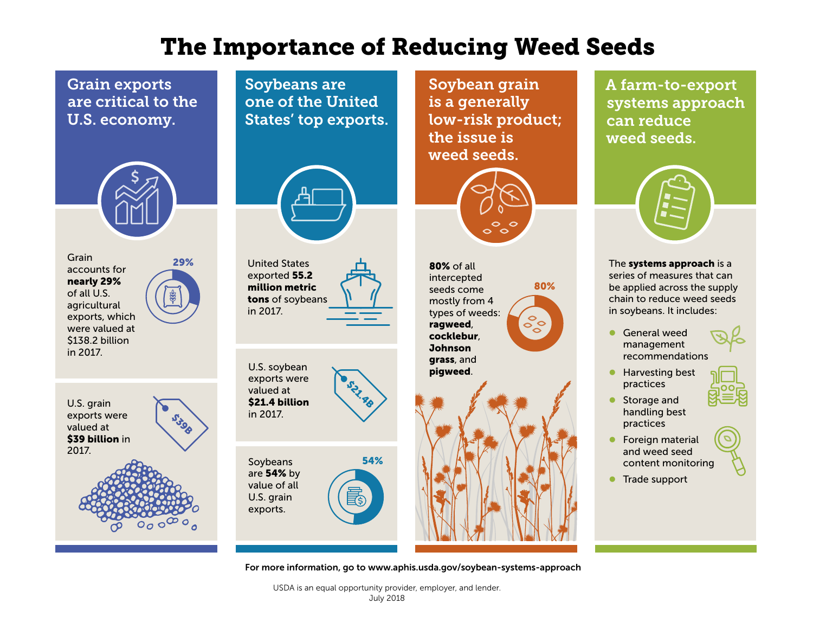## The Importance of Reducing Weed Seeds

Grain exports are critical to the U.S. economy.



29% Grain accounts for nearly 29% of all U.S. agricultural exports, which were valued at \$138.2 billion in 2017.



Soybeans are one of the United States' top exports.



United States exported 55.2 million metric tons of soybeans in 2017.

U.S. soybean exports were valued at \$21.4 billion in 2017. **S21.81** 

Soybeans are 54% by value of all U.S. grain exports.

Soybean grain is a generally low-risk product; the issue is weed seeds.



80%

 $\textcolor{red}{\textstyle\mathop{\textstyle\circ}}$ 

80% of all intercepted seeds come mostly from 4 types of weeds: ragweed, cocklebur, Johnson grass, and pigweed.

A farm-to-export systems approach can reduce weed seeds.



The systems approach is a series of measures that can be applied across the supply chain to reduce weed seeds in soybeans. It includes:

- **C** General weed management recommendations
- **Harvesting best** practices
- **Storage and** handling best practices
- **•** Foreign material and weed seed content monitoring
- **Trade support**



54%

For more information, go to www.aphis.usda.gov/soybean-systems-approach